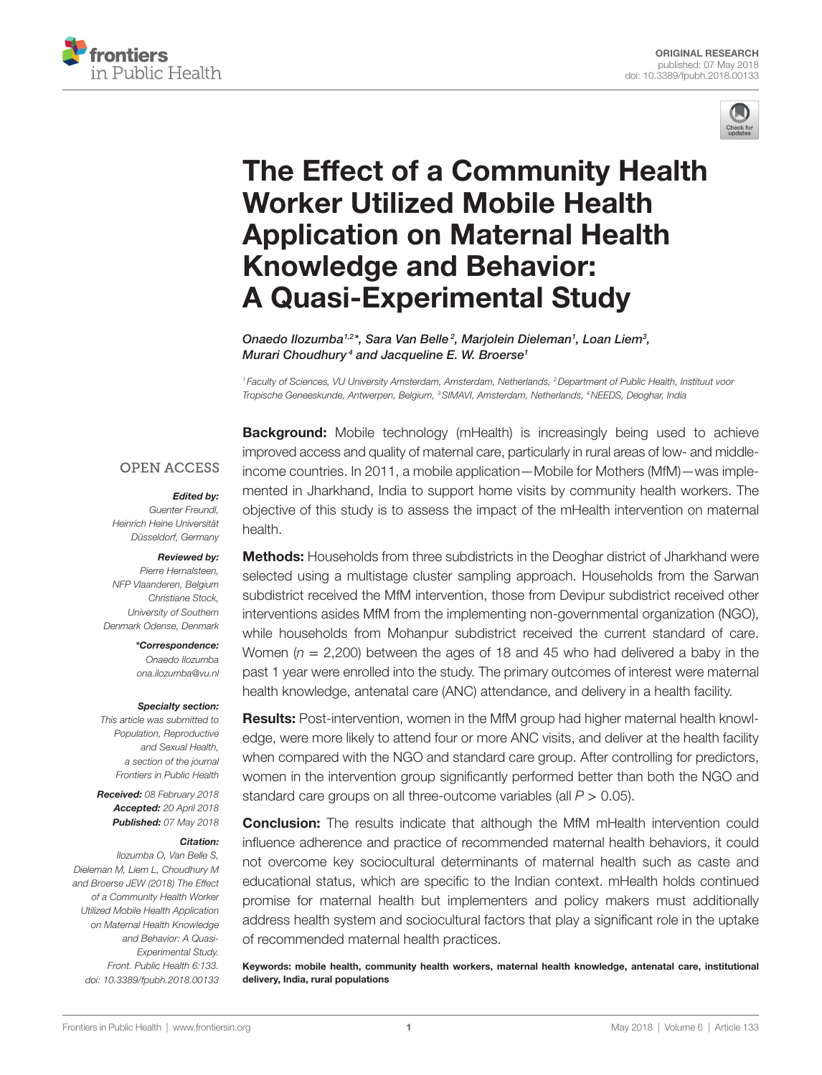



# The Effect of a Community Health Worker Utilized Mobile Health **Application on Maternal Health** [Knowledge and Behavior:](https://www.frontiersin.org/Journal/10.3389/fpubh.2018.00133/full)  **A Quasi-Experimental Study**

*[Onaedo Ilozumba](https://loop.frontiersin.org/people/525636)1,2\*, Sara Van Belle <sup>2</sup> , Marjolein Dieleman1 , Loan Liem3 , [Murari Choudhury](https://loop.frontiersin.org/people/549299) <sup>4</sup> and Jacqueline E. W. Broerse1*

*<sup>1</sup> Faculty of Sciences, VU University Amsterdam, Amsterdam, Netherlands, 2Department of Public Health, Instituut voor Tropische Geneeskunde, Antwerpen, Belgium, 3SIMAVI, Amsterdam, Netherlands, 4NEEDS, Deoghar, India*

#### **OPEN ACCESS**

#### *Edited by:*

*Guenter Freundl, Heinrich Heine Universität Düsseldorf, Germany*

#### *Reviewed by:*

*Pierre Hernalsteen, NFP Vlaanderen, Belgium Christiane Stock, University of Southern Denmark Odense, Denmark*

> *\*Correspondence: Onaedo Ilozumba [ona.ilozumba@vu.nl](mailto:ona.ilozumba@vu.nl)*

#### *Specialty section:*

*This article was submitted to Population, Reproductive and Sexual Health, a section of the journal Frontiers in Public Health*

*Received: 08 February 2018 Accepted: 20 April 2018 Published: 07 May 2018*

#### *Citation:*

*Ilozumba O, Van Belle S, Dieleman M, Liem L, Choudhury M and Broerse JEW (2018) The Effect of a Community Health Worker Utilized Mobile Health Application on Maternal Health Knowledge and Behavior: A Quasi-Experimental Study. Front. Public Health 6:133. doi: [10.3389/fpubh.2018.00133](https://doi.org/10.3389/fpubh.2018.00133)* **Background:** Mobile technology (mHealth) is increasingly being used to achieve improved access and quality of maternal care, particularly in rural areas of low- and middleincome countries. In 2011, a mobile application—Mobile for Mothers (MfM)—was implemented in Jharkhand, India to support home visits by community health workers. The objective of this study is to assess the impact of the mHealth intervention on maternal health.

**Methods:** Households from three subdistricts in the Deoghar district of Jharkhand were selected using a multistage cluster sampling approach. Households from the Sarwan subdistrict received the MfM intervention, those from Devipur subdistrict received other interventions asides MfM from the implementing non-governmental organization (NGO), while households from Mohanpur subdistrict received the current standard of care. Women ( $n = 2,200$ ) between the ages of 18 and 45 who had delivered a baby in the past 1 year were enrolled into the study. The primary outcomes of interest were maternal health knowledge, antenatal care (ANC) attendance, and delivery in a health facility.

Results: Post-intervention, women in the MfM group had higher maternal health knowledge, were more likely to attend four or more ANC visits, and deliver at the health facility when compared with the NGO and standard care group. After controlling for predictors, women in the intervention group significantly performed better than both the NGO and standard care groups on all three-outcome variables (all *P* > 0.05).

**Conclusion:** The results indicate that although the MfM mHealth intervention could influence adherence and practice of recommended maternal health behaviors, it could not overcome key sociocultural determinants of maternal health such as caste and educational status, which are specific to the Indian context. mHealth holds continued promise for maternal health but implementers and policy makers must additionally address health system and sociocultural factors that play a significant role in the uptake of recommended maternal health practices.

Keywords: mobile health, community health workers, maternal health knowledge, antenatal care, institutional delivery, India, rural populations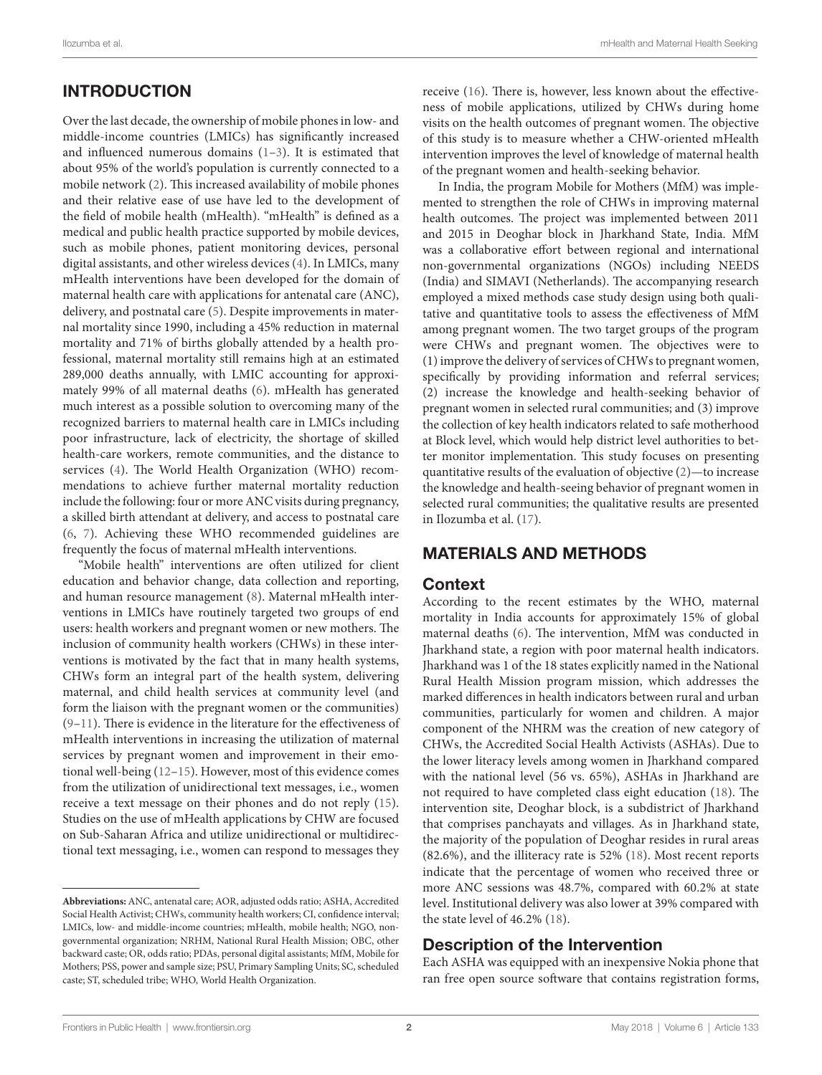# INTRODUCTION

Over the last decade, the ownership of mobile phones in low- and middle-income countries (LMICs) has significantly increased and influenced numerous domains [\(1–](#page-8-0)[3](#page-8-1)). It is estimated that about 95% of the world's population is currently connected to a mobile network ([2\)](#page-8-2). This increased availability of mobile phones and their relative ease of use have led to the development of the field of mobile health (mHealth). "mHealth" is defined as a medical and public health practice supported by mobile devices, such as mobile phones, patient monitoring devices, personal digital assistants, and other wireless devices ([4\)](#page-8-3). In LMICs, many mHealth interventions have been developed for the domain of maternal health care with applications for antenatal care (ANC), delivery, and postnatal care [\(5\)](#page-8-4). Despite improvements in maternal mortality since 1990, including a 45% reduction in maternal mortality and 71% of births globally attended by a health professional, maternal mortality still remains high at an estimated 289,000 deaths annually, with LMIC accounting for approximately 99% of all maternal deaths ([6](#page-8-5)). mHealth has generated much interest as a possible solution to overcoming many of the recognized barriers to maternal health care in LMICs including poor infrastructure, lack of electricity, the shortage of skilled health-care workers, remote communities, and the distance to services ([4](#page-8-3)). The World Health Organization (WHO) recommendations to achieve further maternal mortality reduction include the following: four or more ANC visits during pregnancy, a skilled birth attendant at delivery, and access to postnatal care ([6](#page-8-5), [7](#page-8-6)). Achieving these WHO recommended guidelines are frequently the focus of maternal mHealth interventions.

"Mobile health" interventions are often utilized for client education and behavior change, data collection and reporting, and human resource management ([8\)](#page-8-7). Maternal mHealth interventions in LMICs have routinely targeted two groups of end users: health workers and pregnant women or new mothers. The inclusion of community health workers (CHWs) in these interventions is motivated by the fact that in many health systems, CHWs form an integral part of the health system, delivering maternal, and child health services at community level (and form the liaison with the pregnant women or the communities) ([9](#page-8-8)[–11](#page-8-9)). There is evidence in the literature for the effectiveness of mHealth interventions in increasing the utilization of maternal services by pregnant women and improvement in their emotional well-being ([12–](#page-9-0)[15](#page-9-1)). However, most of this evidence comes from the utilization of unidirectional text messages, i.e., women receive a text message on their phones and do not reply [\(15\)](#page-9-1). Studies on the use of mHealth applications by CHW are focused on Sub-Saharan Africa and utilize unidirectional or multidirectional text messaging, i.e., women can respond to messages they

receive ([16](#page-9-2)). There is, however, less known about the effectiveness of mobile applications, utilized by CHWs during home visits on the health outcomes of pregnant women. The objective of this study is to measure whether a CHW-oriented mHealth intervention improves the level of knowledge of maternal health of the pregnant women and health-seeking behavior.

In India, the program Mobile for Mothers (MfM) was implemented to strengthen the role of CHWs in improving maternal health outcomes. The project was implemented between 2011 and 2015 in Deoghar block in Jharkhand State, India. MfM was a collaborative effort between regional and international non-governmental organizations (NGOs) including NEEDS (India) and SIMAVI (Netherlands). The accompanying research employed a mixed methods case study design using both qualitative and quantitative tools to assess the effectiveness of MfM among pregnant women. The two target groups of the program were CHWs and pregnant women. The objectives were to (1) improve the delivery of services of CHWs to pregnant women, specifically by providing information and referral services; (2) increase the knowledge and health-seeking behavior of pregnant women in selected rural communities; and (3) improve the collection of key health indicators related to safe motherhood at Block level, which would help district level authorities to better monitor implementation. This study focuses on presenting quantitative results of the evaluation of objective ([2](#page-8-2))—to increase the knowledge and health-seeing behavior of pregnant women in selected rural communities; the qualitative results are presented in Ilozumba et al. ([17\)](#page-9-3).

# MATERIALS AND METHODS

### **Context**

According to the recent estimates by the WHO, maternal mortality in India accounts for approximately 15% of global maternal deaths ([6](#page-8-5)). The intervention, MfM was conducted in Jharkhand state, a region with poor maternal health indicators. Jharkhand was 1 of the 18 states explicitly named in the National Rural Health Mission program mission, which addresses the marked differences in health indicators between rural and urban communities, particularly for women and children. A major component of the NHRM was the creation of new category of CHWs, the Accredited Social Health Activists (ASHAs). Due to the lower literacy levels among women in Jharkhand compared with the national level (56 vs. 65%), ASHAs in Jharkhand are not required to have completed class eight education [\(18](#page-9-4)). The intervention site, Deoghar block, is a subdistrict of Jharkhand that comprises panchayats and villages. As in Jharkhand state, the majority of the population of Deoghar resides in rural areas (82.6%), and the illiteracy rate is 52% ([18\)](#page-9-4). Most recent reports indicate that the percentage of women who received three or more ANC sessions was 48.7%, compared with 60.2% at state level. Institutional delivery was also lower at 39% compared with the state level of 46.2% [\(18](#page-9-4)).

# Description of the Intervention

Each ASHA was equipped with an inexpensive Nokia phone that ran free open source software that contains registration forms,

**Abbreviations:** ANC, antenatal care; AOR, adjusted odds ratio; ASHA, Accredited Social Health Activist; CHWs, community health workers; CI, confidence interval; LMICs, low- and middle-income countries; mHealth, mobile health; NGO, nongovernmental organization; NRHM, National Rural Health Mission; OBC, other backward caste; OR, odds ratio; PDAs, personal digital assistants; MfM, Mobile for Mothers; PSS, power and sample size; PSU, Primary Sampling Units; SC, scheduled caste; ST, scheduled tribe; WHO, World Health Organization.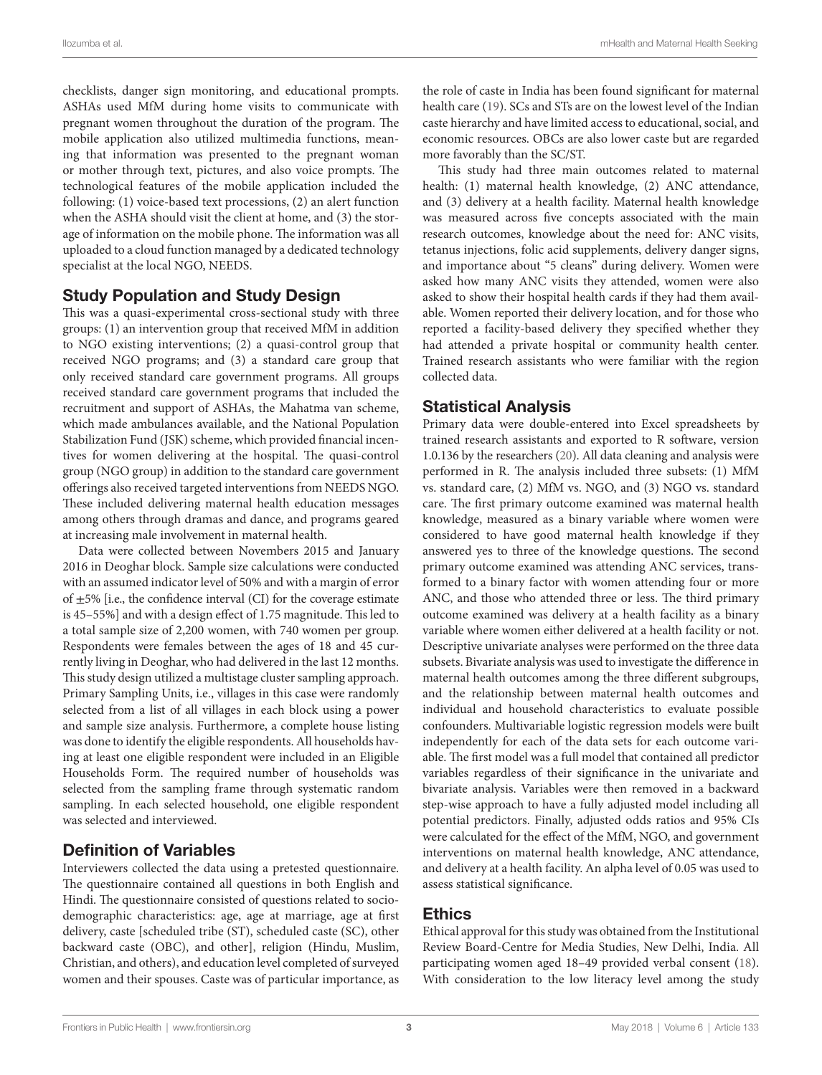checklists, danger sign monitoring, and educational prompts. ASHAs used MfM during home visits to communicate with pregnant women throughout the duration of the program. The mobile application also utilized multimedia functions, meaning that information was presented to the pregnant woman or mother through text, pictures, and also voice prompts. The technological features of the mobile application included the following: (1) voice-based text processions, (2) an alert function when the ASHA should visit the client at home, and (3) the storage of information on the mobile phone. The information was all uploaded to a cloud function managed by a dedicated technology specialist at the local NGO, NEEDS.

#### Study Population and Study Design

This was a quasi-experimental cross-sectional study with three groups: (1) an intervention group that received MfM in addition to NGO existing interventions; (2) a quasi-control group that received NGO programs; and (3) a standard care group that only received standard care government programs. All groups received standard care government programs that included the recruitment and support of ASHAs, the Mahatma van scheme, which made ambulances available, and the National Population Stabilization Fund (JSK) scheme, which provided financial incentives for women delivering at the hospital. The quasi-control group (NGO group) in addition to the standard care government offerings also received targeted interventions from NEEDS NGO. These included delivering maternal health education messages among others through dramas and dance, and programs geared at increasing male involvement in maternal health.

Data were collected between Novembers 2015 and January 2016 in Deoghar block. Sample size calculations were conducted with an assumed indicator level of 50% and with a margin of error of  $\pm$ 5% [i.e., the confidence interval (CI) for the coverage estimate is 45–55%] and with a design effect of 1.75 magnitude. This led to a total sample size of 2,200 women, with 740 women per group. Respondents were females between the ages of 18 and 45 currently living in Deoghar, who had delivered in the last 12 months. This study design utilized a multistage cluster sampling approach. Primary Sampling Units, i.e., villages in this case were randomly selected from a list of all villages in each block using a power and sample size analysis. Furthermore, a complete house listing was done to identify the eligible respondents. All households having at least one eligible respondent were included in an Eligible Households Form. The required number of households was selected from the sampling frame through systematic random sampling. In each selected household, one eligible respondent was selected and interviewed.

#### Definition of Variables

Interviewers collected the data using a pretested questionnaire. The questionnaire contained all questions in both English and Hindi. The questionnaire consisted of questions related to sociodemographic characteristics: age, age at marriage, age at first delivery, caste [scheduled tribe (ST), scheduled caste (SC), other backward caste (OBC), and other], religion (Hindu, Muslim, Christian, and others), and education level completed of surveyed women and their spouses. Caste was of particular importance, as

the role of caste in India has been found significant for maternal health care ([19\)](#page-9-5). SCs and STs are on the lowest level of the Indian caste hierarchy and have limited access to educational, social, and economic resources. OBCs are also lower caste but are regarded more favorably than the SC/ST.

This study had three main outcomes related to maternal health: (1) maternal health knowledge, (2) ANC attendance, and (3) delivery at a health facility. Maternal health knowledge was measured across five concepts associated with the main research outcomes, knowledge about the need for: ANC visits, tetanus injections, folic acid supplements, delivery danger signs, and importance about "5 cleans" during delivery. Women were asked how many ANC visits they attended, women were also asked to show their hospital health cards if they had them available. Women reported their delivery location, and for those who reported a facility-based delivery they specified whether they had attended a private hospital or community health center. Trained research assistants who were familiar with the region collected data.

#### Statistical Analysis

Primary data were double-entered into Excel spreadsheets by trained research assistants and exported to R software, version 1.0.136 by the researchers ([20](#page-9-6)). All data cleaning and analysis were performed in R. The analysis included three subsets: (1) MfM vs. standard care, (2) MfM vs. NGO, and (3) NGO vs. standard care. The first primary outcome examined was maternal health knowledge, measured as a binary variable where women were considered to have good maternal health knowledge if they answered yes to three of the knowledge questions. The second primary outcome examined was attending ANC services, transformed to a binary factor with women attending four or more ANC, and those who attended three or less. The third primary outcome examined was delivery at a health facility as a binary variable where women either delivered at a health facility or not. Descriptive univariate analyses were performed on the three data subsets. Bivariate analysis was used to investigate the difference in maternal health outcomes among the three different subgroups, and the relationship between maternal health outcomes and individual and household characteristics to evaluate possible confounders. Multivariable logistic regression models were built independently for each of the data sets for each outcome variable. The first model was a full model that contained all predictor variables regardless of their significance in the univariate and bivariate analysis. Variables were then removed in a backward step-wise approach to have a fully adjusted model including all potential predictors. Finally, adjusted odds ratios and 95% CIs were calculated for the effect of the MfM, NGO, and government interventions on maternal health knowledge, ANC attendance, and delivery at a health facility. An alpha level of 0.05 was used to assess statistical significance.

#### Ethics

Ethical approval for this study was obtained from the Institutional Review Board-Centre for Media Studies, New Delhi, India. All participating women aged 18–49 provided verbal consent [\(18](#page-9-4)). With consideration to the low literacy level among the study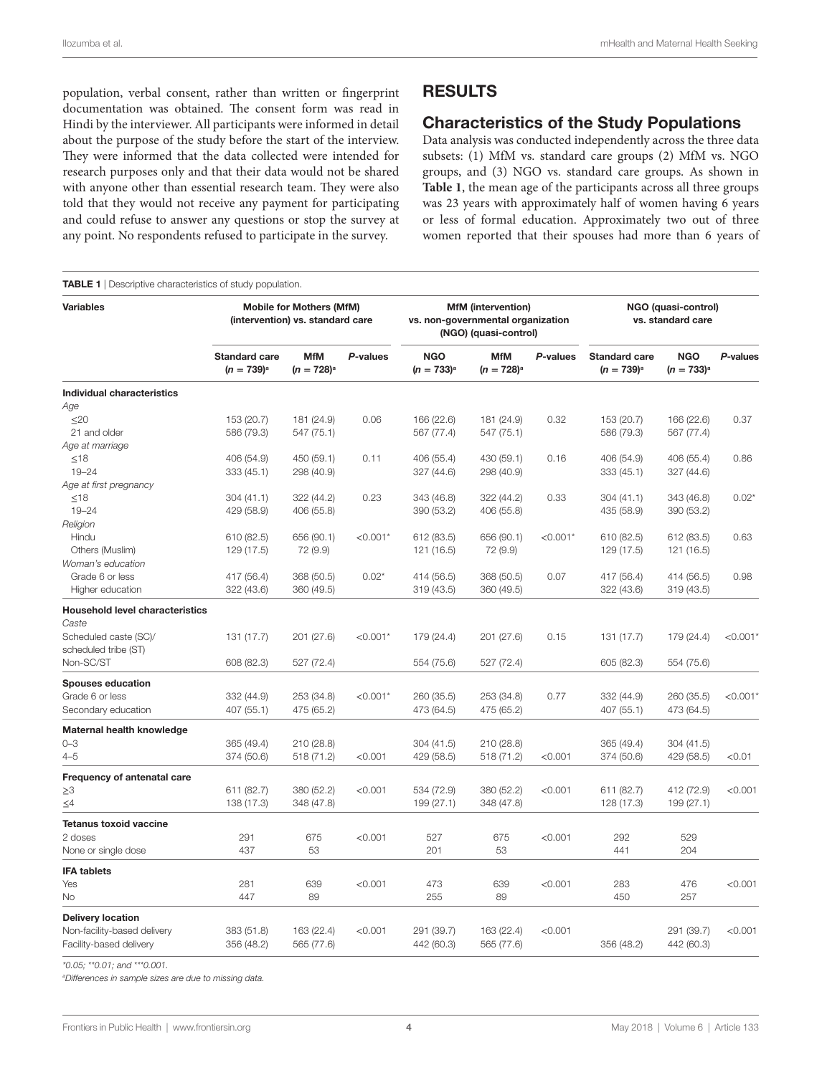population, verbal consent, rather than written or fingerprint documentation was obtained. The consent form was read in Hindi by the interviewer. All participants were informed in detail about the purpose of the study before the start of the interview. They were informed that the data collected were intended for research purposes only and that their data would not be shared with anyone other than essential research team. They were also told that they would not receive any payment for participating and could refuse to answer any questions or stop the survey at any point. No respondents refused to participate in the survey.

#### <span id="page-3-0"></span>**TABLE 1** | Descriptive characteristics of study population.

#### **RESULTS**

#### Characteristics of the Study Populations

Data analysis was conducted independently across the three data subsets: (1) MfM vs. standard care groups (2) MfM vs. NGO groups, and (3) NGO vs. standard care groups. As shown in **[Table 1](#page-3-0)**, the mean age of the participants across all three groups was 23 years with approximately half of women having 6 years or less of formal education. Approximately two out of three women reported that their spouses had more than 6 years of

| <b>Variables</b>                       | <b>Mobile for Mothers (MfM)</b><br>(intervention) vs. standard care |                               |            | <b>MfM</b> (intervention)<br>vs. non-governmental organization<br>(NGO) (quasi-control) |                               |            | NGO (quasi-control)<br>vs. standard care |                               |            |
|----------------------------------------|---------------------------------------------------------------------|-------------------------------|------------|-----------------------------------------------------------------------------------------|-------------------------------|------------|------------------------------------------|-------------------------------|------------|
|                                        | <b>Standard care</b><br>$(n = 739)^{a}$                             | <b>MfM</b><br>$(n = 728)^{a}$ | P-values   | <b>NGO</b><br>$(n = 733)^{a}$                                                           | <b>MfM</b><br>$(n = 728)^{a}$ | P-values   | <b>Standard care</b><br>$(n = 739)^{a}$  | <b>NGO</b><br>$(n = 733)^{a}$ | P-values   |
| <b>Individual characteristics</b>      |                                                                     |                               |            |                                                                                         |                               |            |                                          |                               |            |
| Age                                    |                                                                     |                               |            |                                                                                         |                               |            |                                          |                               |            |
| $\leq$ 20                              | 153 (20.7)                                                          | 181 (24.9)                    | 0.06       | 166 (22.6)                                                                              | 181 (24.9)                    | 0.32       | 153 (20.7)                               | 166 (22.6)                    | 0.37       |
| 21 and older                           | 586 (79.3)                                                          | 547 (75.1)                    |            | 567 (77.4)                                                                              | 547 (75.1)                    |            | 586 (79.3)                               | 567 (77.4)                    |            |
| Age at marriage                        |                                                                     |                               |            |                                                                                         |                               |            |                                          |                               |            |
| $\leq 18$                              | 406 (54.9)                                                          | 450 (59.1)                    | 0.11       | 406 (55.4)                                                                              | 430 (59.1)                    | 0.16       | 406 (54.9)                               | 406 (55.4)                    | 0.86       |
| $19 - 24$                              | 333 (45.1)                                                          | 298 (40.9)                    |            | 327 (44.6)                                                                              | 298 (40.9)                    |            | 333(45.1)                                | 327 (44.6)                    |            |
| Age at first pregnancy                 |                                                                     |                               |            |                                                                                         |                               |            |                                          |                               |            |
| $≤18$                                  | 304 (41.1)                                                          | 322 (44.2)                    | 0.23       | 343 (46.8)                                                                              | 322 (44.2)                    | 0.33       | 304(41.1)                                | 343 (46.8)                    | $0.02*$    |
| $19 - 24$                              | 429 (58.9)                                                          | 406 (55.8)                    |            | 390 (53.2)                                                                              | 406 (55.8)                    |            | 435 (58.9)                               | 390 (53.2)                    |            |
| Religion                               |                                                                     |                               |            |                                                                                         |                               |            |                                          |                               |            |
| Hindu                                  | 610 (82.5)                                                          | 656 (90.1)                    | $< 0.001*$ | 612 (83.5)                                                                              | 656 (90.1)                    | $< 0.001*$ | 610 (82.5)                               | 612 (83.5)                    | 0.63       |
| Others (Muslim)                        | 129 (17.5)                                                          | 72 (9.9)                      |            | 121 (16.5)                                                                              | 72 (9.9)                      |            | 129 (17.5)                               | 121 (16.5)                    |            |
| Woman's education                      |                                                                     |                               |            |                                                                                         |                               |            |                                          |                               |            |
| Grade 6 or less                        | 417 (56.4)                                                          | 368 (50.5)                    | $0.02*$    | 414 (56.5)                                                                              | 368 (50.5)                    | 0.07       | 417 (56.4)                               | 414 (56.5)                    | 0.98       |
| Higher education                       | 322 (43.6)                                                          | 360 (49.5)                    |            | 319 (43.5)                                                                              | 360 (49.5)                    |            | 322 (43.6)                               | 319 (43.5)                    |            |
| <b>Household level characteristics</b> |                                                                     |                               |            |                                                                                         |                               |            |                                          |                               |            |
| Caste                                  |                                                                     |                               |            |                                                                                         |                               |            |                                          |                               |            |
| Scheduled caste (SC)/                  | 131 (17.7)                                                          | 201 (27.6)                    | $< 0.001*$ | 179 (24.4)                                                                              | 201 (27.6)                    | 0.15       | 131 (17.7)                               | 179 (24.4)                    | $< 0.001*$ |
| scheduled tribe (ST)                   |                                                                     |                               |            |                                                                                         |                               |            |                                          |                               |            |
| Non-SC/ST                              | 608 (82.3)                                                          | 527 (72.4)                    |            | 554 (75.6)                                                                              | 527 (72.4)                    |            | 605 (82.3)                               | 554 (75.6)                    |            |
| <b>Spouses education</b>               |                                                                     |                               |            |                                                                                         |                               |            |                                          |                               |            |
| Grade 6 or less                        | 332 (44.9)                                                          | 253 (34.8)                    | $< 0.001*$ | 260 (35.5)                                                                              | 253 (34.8)                    | 0.77       | 332 (44.9)                               | 260 (35.5)                    | < 0.001'   |
| Secondary education                    | 407 (55.1)                                                          | 475 (65.2)                    |            | 473 (64.5)                                                                              | 475 (65.2)                    |            | 407 (55.1)                               | 473 (64.5)                    |            |
| Maternal health knowledge              |                                                                     |                               |            |                                                                                         |                               |            |                                          |                               |            |
| $0 - 3$                                | 365 (49.4)                                                          | 210 (28.8)                    |            | 304 (41.5)                                                                              | 210 (28.8)                    |            | 365 (49.4)                               | 304 (41.5)                    |            |
| $4 - 5$                                | 374 (50.6)                                                          | 518 (71.2)                    | < 0.001    | 429 (58.5)                                                                              | 518 (71.2)                    | < 0.001    | 374 (50.6)                               | 429 (58.5)                    | < 0.01     |
| Frequency of antenatal care            |                                                                     |                               |            |                                                                                         |                               |            |                                          |                               |            |
| $\geq 3$                               | 611 (82.7)                                                          | 380 (52.2)                    | < 0.001    | 534 (72.9)                                                                              | 380 (52.2)                    | < 0.001    | 611 (82.7)                               | 412 (72.9)                    | < 0.001    |
| $\leq4$                                | 138 (17.3)                                                          | 348 (47.8)                    |            | 199 (27.1)                                                                              | 348 (47.8)                    |            | 128 (17.3)                               | 199 (27.1)                    |            |
| <b>Tetanus toxoid vaccine</b>          |                                                                     |                               |            |                                                                                         |                               |            |                                          |                               |            |
| 2 doses                                | 291                                                                 | 675                           | < 0.001    | 527                                                                                     | 675                           | < 0.001    | 292                                      | 529                           |            |
| None or single dose                    | 437                                                                 | 53                            |            | 201                                                                                     | 53                            |            | 441                                      | 204                           |            |
| <b>IFA tablets</b>                     |                                                                     |                               |            |                                                                                         |                               |            |                                          |                               |            |
| Yes                                    | 281                                                                 | 639                           | < 0.001    | 473                                                                                     | 639                           | < 0.001    | 283                                      | 476                           | < 0.001    |
| No                                     | 447                                                                 | 89                            |            | 255                                                                                     | 89                            |            | 450                                      | 257                           |            |
| <b>Delivery location</b>               |                                                                     |                               |            |                                                                                         |                               |            |                                          |                               |            |
| Non-facility-based delivery            | 383 (51.8)                                                          | 163 (22.4)                    | < 0.001    | 291 (39.7)                                                                              | 163 (22.4)                    | < 0.001    |                                          | 291 (39.7)                    | < 0.001    |
| Facility-based delivery                | 356 (48.2)                                                          | 565 (77.6)                    |            | 442 (60.3)                                                                              | 565 (77.6)                    |            | 356 (48.2)                               | 442 (60.3)                    |            |

*\*0.05; \*\*0.01; and \*\*\*0.001.*

*a Differences in sample sizes are due to missing data.*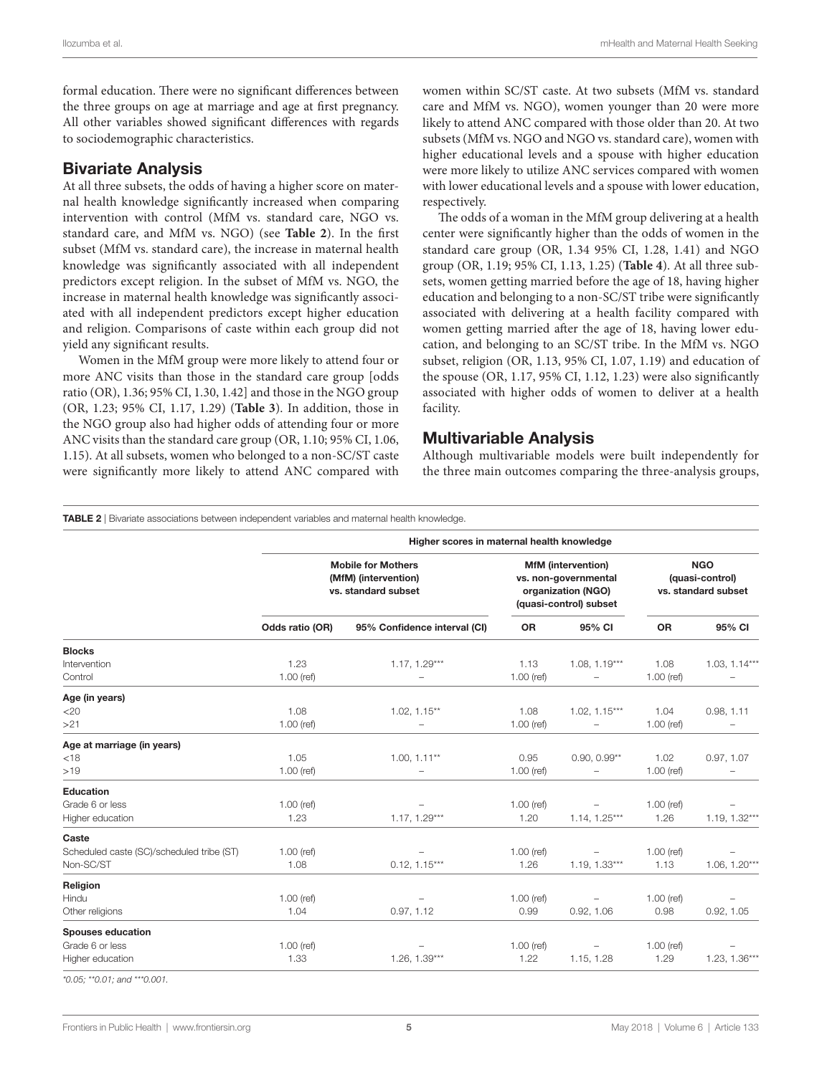formal education. There were no significant differences between the three groups on age at marriage and age at first pregnancy. All other variables showed significant differences with regards to sociodemographic characteristics.

#### Bivariate Analysis

At all three subsets, the odds of having a higher score on maternal health knowledge significantly increased when comparing intervention with control (MfM vs. standard care, NGO vs. standard care, and MfM vs. NGO) (see **[Table 2](#page-4-0)**). In the first subset (MfM vs. standard care), the increase in maternal health knowledge was significantly associated with all independent predictors except religion. In the subset of MfM vs. NGO, the increase in maternal health knowledge was significantly associated with all independent predictors except higher education and religion. Comparisons of caste within each group did not yield any significant results.

Women in the MfM group were more likely to attend four or more ANC visits than those in the standard care group [odds ratio (OR), 1.36; 95% CI, 1.30, 1.42] and those in the NGO group (OR, 1.23; 95% CI, 1.17, 1.29) (**[Table 3](#page-5-0)**). In addition, those in the NGO group also had higher odds of attending four or more ANC visits than the standard care group (OR, 1.10; 95% CI, 1.06, 1.15). At all subsets, women who belonged to a non-SC/ST caste were significantly more likely to attend ANC compared with

women within SC/ST caste. At two subsets (MfM vs. standard care and MfM vs. NGO), women younger than 20 were more likely to attend ANC compared with those older than 20. At two subsets (MfM vs. NGO and NGO vs. standard care), women with higher educational levels and a spouse with higher education were more likely to utilize ANC services compared with women with lower educational levels and a spouse with lower education, respectively.

The odds of a woman in the MfM group delivering at a health center were significantly higher than the odds of women in the standard care group (OR, 1.34 95% CI, 1.28, 1.41) and NGO group (OR, 1.19; 95% CI, 1.13, 1.25) (**[Table 4](#page-6-0)**). At all three subsets, women getting married before the age of 18, having higher education and belonging to a non-SC/ST tribe were significantly associated with delivering at a health facility compared with women getting married after the age of 18, having lower education, and belonging to an SC/ST tribe. In the MfM vs. NGO subset, religion (OR, 1.13, 95% CI, 1.07, 1.19) and education of the spouse (OR, 1.17, 95% CI, 1.12, 1.23) were also significantly associated with higher odds of women to deliver at a health facility.

#### Multivariable Analysis

Although multivariable models were built independently for the three main outcomes comparing the three-analysis groups,

#### <span id="page-4-0"></span>**TABLE 2** | Bivariate associations between independent variables and maternal health knowledge.

|                                           | Higher scores in maternal health knowledge                               |                                                                                                   |              |                                                      |              |                 |
|-------------------------------------------|--------------------------------------------------------------------------|---------------------------------------------------------------------------------------------------|--------------|------------------------------------------------------|--------------|-----------------|
|                                           | <b>Mobile for Mothers</b><br>(MfM) (intervention)<br>vs. standard subset | <b>MfM</b> (intervention)<br>vs. non-governmental<br>organization (NGO)<br>(quasi-control) subset |              | <b>NGO</b><br>(quasi-control)<br>vs. standard subset |              |                 |
|                                           | Odds ratio (OR)                                                          | 95% Confidence interval (CI)                                                                      | <b>OR</b>    | 95% CI                                               | <b>OR</b>    | 95% CI          |
| <b>Blocks</b>                             |                                                                          |                                                                                                   |              |                                                      |              |                 |
| Intervention                              | 1.23                                                                     | $1.17, 1.29***$                                                                                   | 1.13         | $1.08, 1.19***$                                      | 1.08         | $1.03, 1.14***$ |
| Control                                   | $1.00$ (ref)                                                             |                                                                                                   | $1.00$ (ref) | -                                                    | $1.00$ (ref) |                 |
| Age (in years)                            |                                                                          |                                                                                                   |              |                                                      |              |                 |
| $<$ 20                                    | 1.08                                                                     | $1.02, 1.15**$                                                                                    | 1.08         | $1.02, 1.15***$                                      | 1.04         | 0.98, 1.11      |
| >21                                       | $1.00$ (ref)                                                             |                                                                                                   | $1.00$ (ref) |                                                      | $1.00$ (ref) |                 |
| Age at marriage (in years)                |                                                                          |                                                                                                   |              |                                                      |              |                 |
| $<$ 18                                    | 1.05                                                                     | $1.00, 1.11**$                                                                                    | 0.95         | $0.90, 0.99**$                                       | 1.02         | 0.97, 1.07      |
| >19                                       | $1.00$ (ref)                                                             |                                                                                                   | $1.00$ (ref) | $\overline{\phantom{0}}$                             | $1.00$ (ref) |                 |
| <b>Education</b>                          |                                                                          |                                                                                                   |              |                                                      |              |                 |
| Grade 6 or less                           | $1.00$ (ref)                                                             |                                                                                                   | $1.00$ (ref) | $\qquad \qquad -$                                    | $1.00$ (ref) |                 |
| Higher education                          | 1.23                                                                     | $1.17, 1.29***$                                                                                   | 1.20         | $1.14, 1.25***$                                      | 1.26         | $1.19, 1.32***$ |
| Caste                                     |                                                                          |                                                                                                   |              |                                                      |              |                 |
| Scheduled caste (SC)/scheduled tribe (ST) | $1.00$ (ref)                                                             |                                                                                                   | $1.00$ (ref) |                                                      | $1.00$ (ref) |                 |
| Non-SC/ST                                 | 1.08                                                                     | $0.12, 1.15***$                                                                                   | 1.26         | $1.19, 1.33***$                                      | 1.13         | $1.06, 1.20***$ |
| Religion                                  |                                                                          |                                                                                                   |              |                                                      |              |                 |
| Hindu                                     | $1.00$ (ref)                                                             |                                                                                                   | $1.00$ (ref) |                                                      | $1.00$ (ref) |                 |
| Other religions                           | 1.04                                                                     | 0.97, 1.12                                                                                        | 0.99         | 0.92, 1.06                                           | 0.98         | 0.92, 1.05      |
| <b>Spouses education</b>                  |                                                                          |                                                                                                   |              |                                                      |              |                 |
| Grade 6 or less                           | $1.00$ (ref)                                                             |                                                                                                   | $1.00$ (ref) | $\qquad \qquad -$                                    | $1.00$ (ref) |                 |
| Higher education                          | 1.33                                                                     | $1.26, 1.39***$                                                                                   | 1.22         | 1.15, 1.28                                           | 1.29         | $1.23, 1.36***$ |

*\*0.05; \*\*0.01; and \*\*\*0.001.*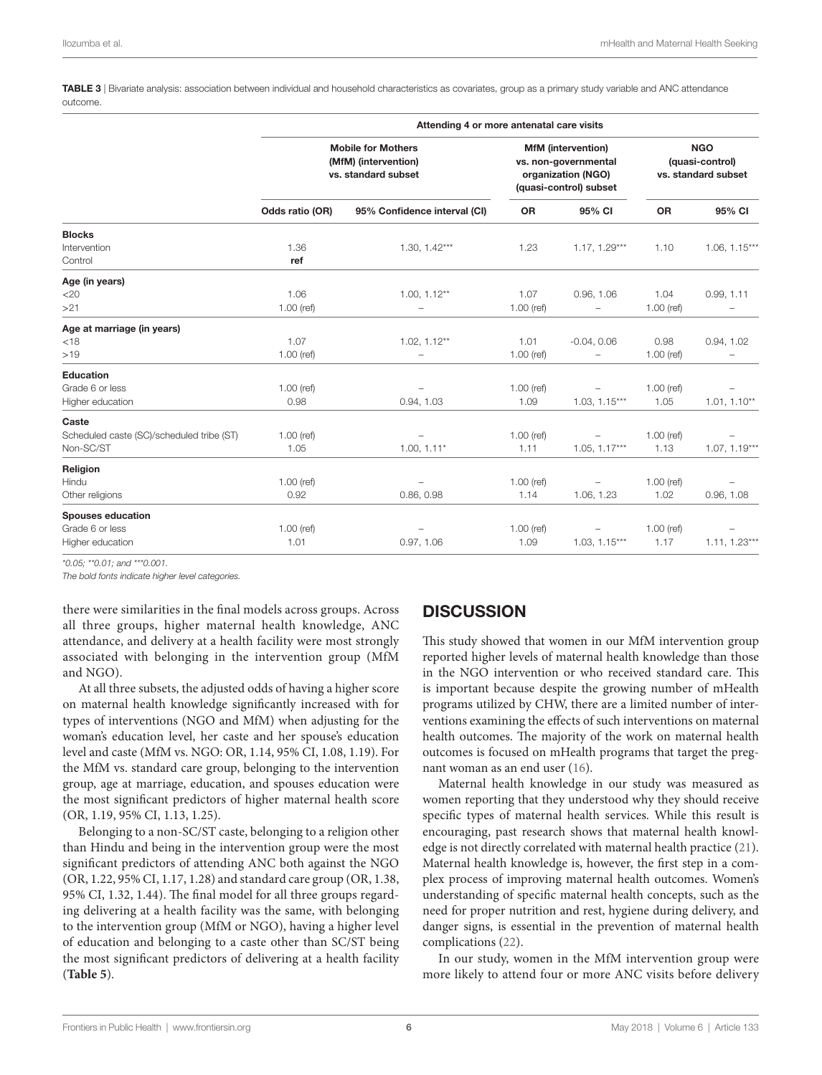<span id="page-5-0"></span>TABLE 3 | Bivariate analysis: association between individual and household characteristics as covariates, group as a primary study variable and ANC attendance outcome.

|                                           | Attending 4 or more antenatal care visits                                |                                                                                                   |              |                                                      |              |                 |
|-------------------------------------------|--------------------------------------------------------------------------|---------------------------------------------------------------------------------------------------|--------------|------------------------------------------------------|--------------|-----------------|
|                                           | <b>Mobile for Mothers</b><br>(MfM) (intervention)<br>vs. standard subset | <b>MfM</b> (intervention)<br>vs. non-governmental<br>organization (NGO)<br>(quasi-control) subset |              | <b>NGO</b><br>(quasi-control)<br>vs. standard subset |              |                 |
|                                           | Odds ratio (OR)                                                          | 95% Confidence interval (CI)                                                                      | OR           | 95% CI                                               | OR           | 95% CI          |
| <b>Blocks</b>                             |                                                                          |                                                                                                   |              |                                                      |              |                 |
| Intervention<br>Control                   | 1.36<br>ref                                                              | $1.30, 1.42***$                                                                                   | 1.23         | $1.17, 1.29***$                                      | 1.10         | $1.06, 1.15***$ |
| Age (in years)                            |                                                                          |                                                                                                   |              |                                                      |              |                 |
| $<$ 20                                    | 1.06                                                                     | $1.00, 1.12**$                                                                                    | 1.07         | 0.96, 1.06                                           | 1.04         | 0.99, 1.11      |
| >21                                       | $1.00$ (ref)                                                             | $\overline{\phantom{0}}$                                                                          | $1.00$ (ref) | -                                                    | $1.00$ (ref) |                 |
| Age at marriage (in years)                |                                                                          |                                                                                                   |              |                                                      |              |                 |
| $<$ 18                                    | 1.07                                                                     | $1.02, 1.12**$                                                                                    | 1.01         | $-0.04, 0.06$                                        | 0.98         | 0.94, 1.02      |
| >19                                       | $1.00$ (ref)                                                             | $\overline{\phantom{0}}$                                                                          | $1.00$ (ref) | $\overline{\phantom{0}}$                             | $1.00$ (ref) |                 |
| <b>Education</b>                          |                                                                          |                                                                                                   |              |                                                      |              |                 |
| Grade 6 or less                           | $1.00$ (ref)                                                             |                                                                                                   | $1.00$ (ref) |                                                      | $1.00$ (ref) |                 |
| Higher education                          | 0.98                                                                     | 0.94, 1.03                                                                                        | 1.09         | $1.03, 1.15***$                                      | 1.05         | $1.01, 1.10**$  |
| Caste                                     |                                                                          |                                                                                                   |              |                                                      |              |                 |
| Scheduled caste (SC)/scheduled tribe (ST) | $1.00$ (ref)                                                             |                                                                                                   | $1.00$ (ref) | $\overline{\phantom{0}}$                             | $1.00$ (ref) |                 |
| Non-SC/ST                                 | 1.05                                                                     | $1.00, 1.11*$                                                                                     | 1.11         | $1.05, 1.17***$                                      | 1.13         | $1.07, 1.19***$ |
| Religion                                  |                                                                          |                                                                                                   |              |                                                      |              |                 |
| Hindu                                     | $1.00$ (ref)                                                             |                                                                                                   | $1.00$ (ref) | $\overline{\phantom{a}}$                             | $1.00$ (ref) |                 |
| Other religions                           | 0.92                                                                     | 0.86, 0.98                                                                                        | 1.14         | 1.06, 1.23                                           | 1.02         | 0.96, 1.08      |
| <b>Spouses education</b>                  |                                                                          |                                                                                                   |              |                                                      |              |                 |
| Grade 6 or less                           | $1.00$ (ref)                                                             |                                                                                                   | $1.00$ (ref) | $\overline{\phantom{0}}$                             | $1.00$ (ref) |                 |
| Higher education                          | 1.01                                                                     | 0.97, 1.06                                                                                        | 1.09         | $1.03, 1.15***$                                      | 1.17         | $1.11, 1.23***$ |
|                                           |                                                                          |                                                                                                   |              |                                                      |              |                 |

*\*0.05; \*\*0.01; and \*\*\*0.001.*

*The bold fonts indicate higher level categories.*

there were similarities in the final models across groups. Across all three groups, higher maternal health knowledge, ANC attendance, and delivery at a health facility were most strongly associated with belonging in the intervention group (MfM and NGO).

At all three subsets, the adjusted odds of having a higher score on maternal health knowledge significantly increased with for types of interventions (NGO and MfM) when adjusting for the woman's education level, her caste and her spouse's education level and caste (MfM vs. NGO: OR, 1.14, 95% CI, 1.08, 1.19). For the MfM vs. standard care group, belonging to the intervention group, age at marriage, education, and spouses education were the most significant predictors of higher maternal health score (OR, 1.19, 95% CI, 1.13, 1.25).

Belonging to a non-SC/ST caste, belonging to a religion other than Hindu and being in the intervention group were the most significant predictors of attending ANC both against the NGO (OR, 1.22, 95% CI, 1.17, 1.28) and standard care group (OR, 1.38, 95% CI, 1.32, 1.44). The final model for all three groups regarding delivering at a health facility was the same, with belonging to the intervention group (MfM or NGO), having a higher level of education and belonging to a caste other than SC/ST being the most significant predictors of delivering at a health facility (**[Table 5](#page-6-1)**).

## **DISCUSSION**

This study showed that women in our MfM intervention group reported higher levels of maternal health knowledge than those in the NGO intervention or who received standard care. This is important because despite the growing number of mHealth programs utilized by CHW, there are a limited number of interventions examining the effects of such interventions on maternal health outcomes. The majority of the work on maternal health outcomes is focused on mHealth programs that target the pregnant woman as an end user ([16](#page-9-2)).

Maternal health knowledge in our study was measured as women reporting that they understood why they should receive specific types of maternal health services. While this result is encouraging, past research shows that maternal health knowledge is not directly correlated with maternal health practice [\(21](#page-9-7)). Maternal health knowledge is, however, the first step in a complex process of improving maternal health outcomes. Women's understanding of specific maternal health concepts, such as the need for proper nutrition and rest, hygiene during delivery, and danger signs, is essential in the prevention of maternal health complications ([22\)](#page-9-8).

In our study, women in the MfM intervention group were more likely to attend four or more ANC visits before delivery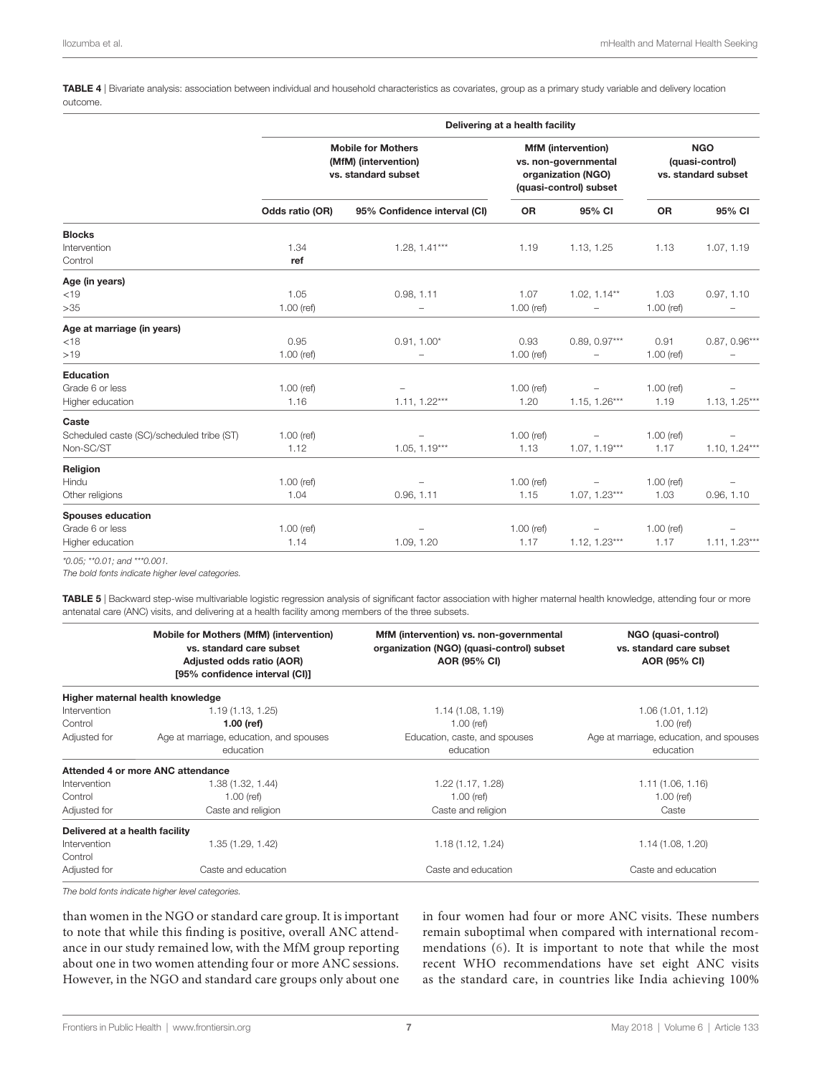<span id="page-6-0"></span>TABLE 4 | Bivariate analysis: association between individual and household characteristics as covariates, group as a primary study variable and delivery location outcome.

|                                           | Delivering at a health facility                                          |                                                                                                   |              |                                                      |              |                 |
|-------------------------------------------|--------------------------------------------------------------------------|---------------------------------------------------------------------------------------------------|--------------|------------------------------------------------------|--------------|-----------------|
|                                           | <b>Mobile for Mothers</b><br>(MfM) (intervention)<br>vs. standard subset | <b>MfM</b> (intervention)<br>vs. non-governmental<br>organization (NGO)<br>(quasi-control) subset |              | <b>NGO</b><br>(quasi-control)<br>vs. standard subset |              |                 |
|                                           | Odds ratio (OR)                                                          | 95% Confidence interval (CI)                                                                      | OR           | 95% CI                                               | OR           | 95% CI          |
| <b>Blocks</b>                             |                                                                          |                                                                                                   |              |                                                      |              |                 |
| Intervention                              | 1.34                                                                     | $1.28, 1.41***$                                                                                   | 1.19         | 1.13, 1.25                                           | 1.13         | 1.07, 1.19      |
| Control                                   | ref                                                                      |                                                                                                   |              |                                                      |              |                 |
| Age (in years)                            |                                                                          |                                                                                                   |              |                                                      |              |                 |
| < 19                                      | 1.05                                                                     | 0.98, 1.11                                                                                        | 1.07         | $1.02, 1.14**$                                       | 1.03         | 0.97, 1.10      |
| >35                                       | $1.00$ (ref)                                                             | $\overline{\phantom{0}}$                                                                          | $1.00$ (ref) | -                                                    | $1.00$ (ref) |                 |
| Age at marriage (in years)                |                                                                          |                                                                                                   |              |                                                      |              |                 |
| $<$ 18                                    | 0.95                                                                     | $0.91, 1.00*$                                                                                     | 0.93         | $0.89, 0.97***$                                      | 0.91         | $0.87, 0.96***$ |
| >19                                       | $1.00$ (ref)                                                             | L,                                                                                                | $1.00$ (ref) |                                                      | $1.00$ (ref) |                 |
| <b>Education</b>                          |                                                                          |                                                                                                   |              |                                                      |              |                 |
| Grade 6 or less                           | $1.00$ (ref)                                                             |                                                                                                   | $1.00$ (ref) | $\overline{\phantom{a}}$                             | $1.00$ (ref) |                 |
| Higher education                          | 1.16                                                                     | $1.11, 1.22***$                                                                                   | 1.20         | $1.15, 1.26***$                                      | 1.19         | $1.13, 1.25***$ |
| Caste                                     |                                                                          |                                                                                                   |              |                                                      |              |                 |
| Scheduled caste (SC)/scheduled tribe (ST) | $1.00$ (ref)                                                             |                                                                                                   | $1.00$ (ref) | $\overline{\phantom{a}}$                             | $1.00$ (ref) |                 |
| Non-SC/ST                                 | 1.12                                                                     | $1.05, 1.19***$                                                                                   | 1.13         | $1.07, 1.19***$                                      | 1.17         | $1.10, 1.24***$ |
| Religion                                  |                                                                          |                                                                                                   |              |                                                      |              |                 |
| Hindu                                     | $1.00$ (ref)                                                             | -                                                                                                 | $1.00$ (ref) | $\overline{\phantom{a}}$                             | $1.00$ (ref) |                 |
| Other religions                           | 1.04                                                                     | 0.96, 1.11                                                                                        | 1.15         | $1.07, 1.23***$                                      | 1.03         | 0.96, 1.10      |
| <b>Spouses education</b>                  |                                                                          |                                                                                                   |              |                                                      |              |                 |
| Grade 6 or less                           | $1.00$ (ref)                                                             |                                                                                                   | $1.00$ (ref) | $\overline{\phantom{m}}$                             | $1.00$ (ref) |                 |
| Higher education                          | 1.14                                                                     | 1.09, 1.20                                                                                        | 1.17         | $1.12, 1.23***$                                      | 1.17         | $1.11, 1.23***$ |
|                                           |                                                                          |                                                                                                   |              |                                                      |              |                 |

*\*0.05; \*\*0.01; and \*\*\*0.001.*

*The bold fonts indicate higher level categories.*

<span id="page-6-1"></span>TABLE 5 | Backward step-wise multivariable logistic regression analysis of significant factor association with higher maternal health knowledge, attending four or more antenatal care (ANC) visits, and delivering at a health facility among members of the three subsets.

|                                | Mobile for Mothers (MfM) (intervention)<br>vs. standard care subset<br>Adjusted odds ratio (AOR)<br>[95% confidence interval (CI)] | MfM (intervention) vs. non-governmental<br>organization (NGO) (quasi-control) subset<br><b>AOR (95% CI)</b> | NGO (quasi-control)<br>vs. standard care subset<br>AOR (95% CI) |
|--------------------------------|------------------------------------------------------------------------------------------------------------------------------------|-------------------------------------------------------------------------------------------------------------|-----------------------------------------------------------------|
|                                | Higher maternal health knowledge                                                                                                   |                                                                                                             |                                                                 |
| Intervention                   | 1.19(1.13, 1.25)                                                                                                                   | 1.14(1.08, 1.19)                                                                                            | 1.06(1.01, 1.12)                                                |
| Control                        | $1.00$ (ref)                                                                                                                       | $1.00$ (ref)                                                                                                | $1.00$ (ref)                                                    |
| Adjusted for                   | Age at marriage, education, and spouses<br>education                                                                               | Education, caste, and spouses<br>education                                                                  | Age at marriage, education, and spouses<br>education            |
|                                | Attended 4 or more ANC attendance                                                                                                  |                                                                                                             |                                                                 |
| Intervention                   | 1.38 (1.32, 1.44)                                                                                                                  | 1.22 (1.17, 1.28)                                                                                           | 1.11(1.06, 1.16)                                                |
| Control                        | $1.00$ (ref)                                                                                                                       | $1.00$ (ref)                                                                                                | $1.00$ (ref)                                                    |
| Adjusted for                   | Caste and religion                                                                                                                 | Caste and religion                                                                                          | Caste                                                           |
| Delivered at a health facility |                                                                                                                                    |                                                                                                             |                                                                 |
| Intervention                   | 1.35 (1.29, 1.42)                                                                                                                  | 1.18(1.12, 1.24)                                                                                            | 1.14(1.08, 1.20)                                                |
| Control                        |                                                                                                                                    |                                                                                                             |                                                                 |
| Adjusted for                   | Caste and education                                                                                                                | Caste and education                                                                                         | Caste and education                                             |
|                                |                                                                                                                                    |                                                                                                             |                                                                 |

*The bold fonts indicate higher level categories.*

than women in the NGO or standard care group. It is important to note that while this finding is positive, overall ANC attendance in our study remained low, with the MfM group reporting about one in two women attending four or more ANC sessions. However, in the NGO and standard care groups only about one

in four women had four or more ANC visits. These numbers remain suboptimal when compared with international recommendations [\(6](#page-8-5)). It is important to note that while the most recent WHO recommendations have set eight ANC visits as the standard care, in countries like India achieving 100%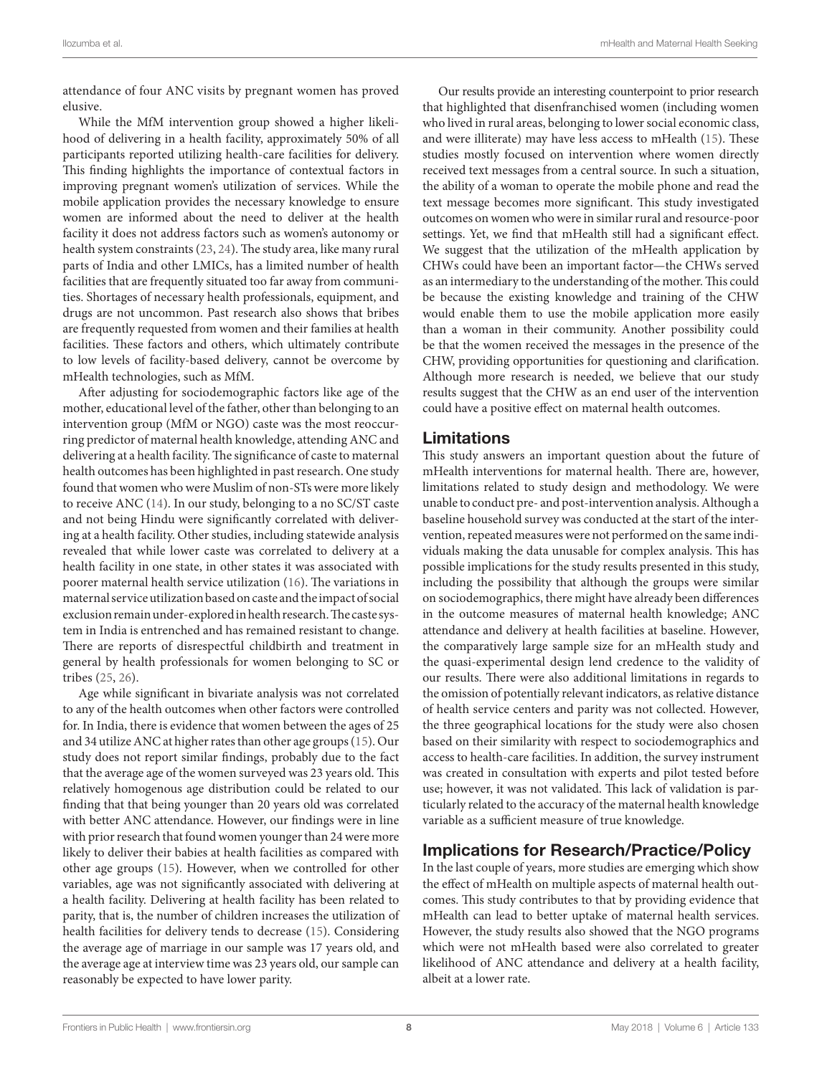attendance of four ANC visits by pregnant women has proved elusive.

While the MfM intervention group showed a higher likelihood of delivering in a health facility, approximately 50% of all participants reported utilizing health-care facilities for delivery. This finding highlights the importance of contextual factors in improving pregnant women's utilization of services. While the mobile application provides the necessary knowledge to ensure women are informed about the need to deliver at the health facility it does not address factors such as women's autonomy or health system constraints [\(23](#page-9-9), [24](#page-9-10)). The study area, like many rural parts of India and other LMICs, has a limited number of health facilities that are frequently situated too far away from communities. Shortages of necessary health professionals, equipment, and drugs are not uncommon. Past research also shows that bribes are frequently requested from women and their families at health facilities. These factors and others, which ultimately contribute to low levels of facility-based delivery, cannot be overcome by mHealth technologies, such as MfM.

After adjusting for sociodemographic factors like age of the mother, educational level of the father, other than belonging to an intervention group (MfM or NGO) caste was the most reoccurring predictor of maternal health knowledge, attending ANC and delivering at a health facility. The significance of caste to maternal health outcomes has been highlighted in past research. One study found that women who were Muslim of non-STs were more likely to receive ANC [\(14](#page-9-11)). In our study, belonging to a no SC/ST caste and not being Hindu were significantly correlated with delivering at a health facility. Other studies, including statewide analysis revealed that while lower caste was correlated to delivery at a health facility in one state, in other states it was associated with poorer maternal health service utilization ([16\)](#page-9-2). The variations in maternal service utilization based on caste and the impact of social exclusion remain under-explored in health research. The caste system in India is entrenched and has remained resistant to change. There are reports of disrespectful childbirth and treatment in general by health professionals for women belonging to SC or tribes [\(25,](#page-9-12) [26](#page-9-13)).

Age while significant in bivariate analysis was not correlated to any of the health outcomes when other factors were controlled for. In India, there is evidence that women between the ages of 25 and 34 utilize ANC at higher rates than other age groups [\(15](#page-9-1)). Our study does not report similar findings, probably due to the fact that the average age of the women surveyed was 23 years old. This relatively homogenous age distribution could be related to our finding that that being younger than 20 years old was correlated with better ANC attendance. However, our findings were in line with prior research that found women younger than 24 were more likely to deliver their babies at health facilities as compared with other age groups [\(15\)](#page-9-1). However, when we controlled for other variables, age was not significantly associated with delivering at a health facility. Delivering at health facility has been related to parity, that is, the number of children increases the utilization of health facilities for delivery tends to decrease ([15\)](#page-9-1). Considering the average age of marriage in our sample was 17 years old, and the average age at interview time was 23 years old, our sample can reasonably be expected to have lower parity.

Our results provide an interesting counterpoint to prior research that highlighted that disenfranchised women (including women who lived in rural areas, belonging to lower social economic class, and were illiterate) may have less access to mHealth ([15](#page-9-1)). These studies mostly focused on intervention where women directly received text messages from a central source. In such a situation, the ability of a woman to operate the mobile phone and read the text message becomes more significant. This study investigated outcomes on women who were in similar rural and resource-poor settings. Yet, we find that mHealth still had a significant effect. We suggest that the utilization of the mHealth application by CHWs could have been an important factor—the CHWs served as an intermediary to the understanding of the mother. This could be because the existing knowledge and training of the CHW would enable them to use the mobile application more easily than a woman in their community. Another possibility could be that the women received the messages in the presence of the CHW, providing opportunities for questioning and clarification. Although more research is needed, we believe that our study results suggest that the CHW as an end user of the intervention could have a positive effect on maternal health outcomes.

#### Limitations

This study answers an important question about the future of mHealth interventions for maternal health. There are, however, limitations related to study design and methodology. We were unable to conduct pre- and post-intervention analysis. Although a baseline household survey was conducted at the start of the intervention, repeated measures were not performed on the same individuals making the data unusable for complex analysis. This has possible implications for the study results presented in this study, including the possibility that although the groups were similar on sociodemographics, there might have already been differences in the outcome measures of maternal health knowledge; ANC attendance and delivery at health facilities at baseline. However, the comparatively large sample size for an mHealth study and the quasi-experimental design lend credence to the validity of our results. There were also additional limitations in regards to the omission of potentially relevant indicators, as relative distance of health service centers and parity was not collected. However, the three geographical locations for the study were also chosen based on their similarity with respect to sociodemographics and access to health-care facilities. In addition, the survey instrument was created in consultation with experts and pilot tested before use; however, it was not validated. This lack of validation is particularly related to the accuracy of the maternal health knowledge variable as a sufficient measure of true knowledge.

### Implications for Research/Practice/Policy

In the last couple of years, more studies are emerging which show the effect of mHealth on multiple aspects of maternal health outcomes. This study contributes to that by providing evidence that mHealth can lead to better uptake of maternal health services. However, the study results also showed that the NGO programs which were not mHealth based were also correlated to greater likelihood of ANC attendance and delivery at a health facility, albeit at a lower rate.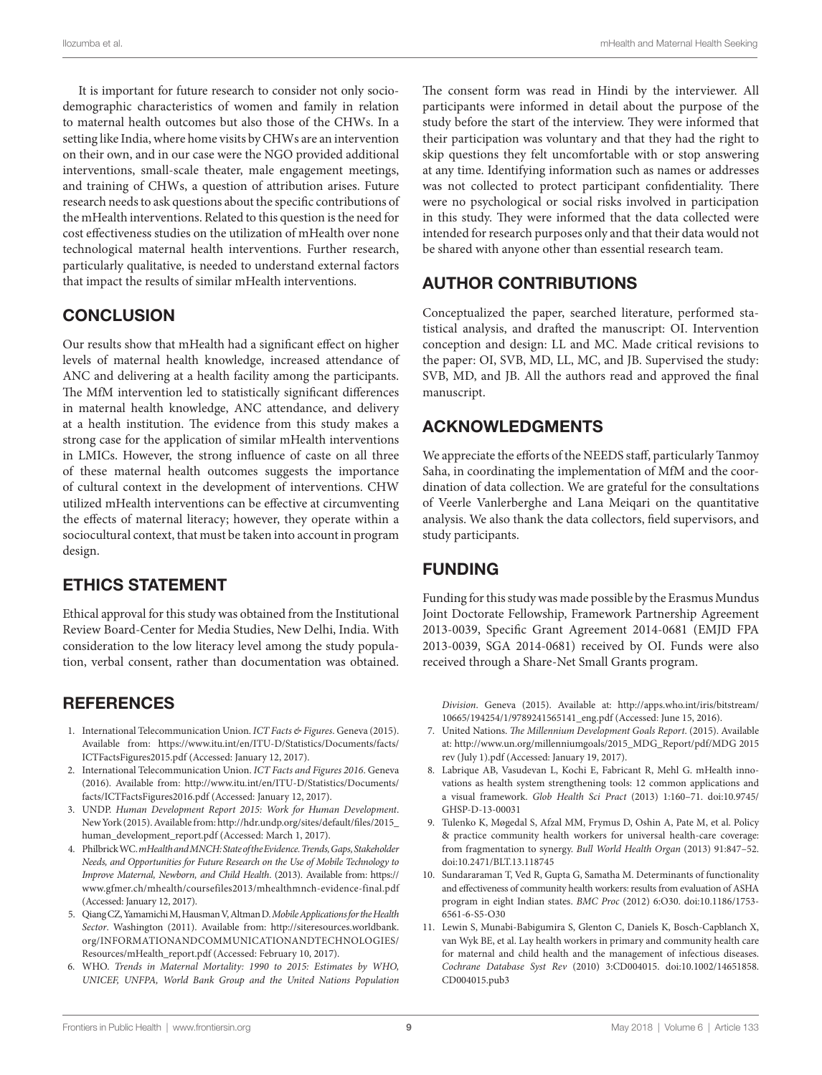It is important for future research to consider not only sociodemographic characteristics of women and family in relation to maternal health outcomes but also those of the CHWs. In a setting like India, where home visits by CHWs are an intervention on their own, and in our case were the NGO provided additional interventions, small-scale theater, male engagement meetings, and training of CHWs, a question of attribution arises. Future research needs to ask questions about the specific contributions of the mHealth interventions. Related to this question is the need for cost effectiveness studies on the utilization of mHealth over none technological maternal health interventions. Further research, particularly qualitative, is needed to understand external factors that impact the results of similar mHealth interventions.

### **CONCLUSION**

Our results show that mHealth had a significant effect on higher levels of maternal health knowledge, increased attendance of ANC and delivering at a health facility among the participants. The MfM intervention led to statistically significant differences in maternal health knowledge, ANC attendance, and delivery at a health institution. The evidence from this study makes a strong case for the application of similar mHealth interventions in LMICs. However, the strong influence of caste on all three of these maternal health outcomes suggests the importance of cultural context in the development of interventions. CHW utilized mHealth interventions can be effective at circumventing the effects of maternal literacy; however, they operate within a sociocultural context, that must be taken into account in program design.

### ETHICS STATEMENT

Ethical approval for this study was obtained from the Institutional Review Board-Center for Media Studies, New Delhi, India. With consideration to the low literacy level among the study population, verbal consent, rather than documentation was obtained.

#### **REFERENCES**

- <span id="page-8-0"></span>1. International Telecommunication Union. *ICT Facts & Figures*. Geneva (2015). Available from: [https://www.itu.int/en/ITU-D/Statistics/Documents/facts/](https://www.itu.int/en/ITU-D/Statistics/Documents/facts/ICTFactsFigures2015.pdf) [ICTFactsFigures2015.pdf](https://www.itu.int/en/ITU-D/Statistics/Documents/facts/ICTFactsFigures2015.pdf) (Accessed: January 12, 2017).
- <span id="page-8-2"></span>2. International Telecommunication Union. *ICT Facts and Figures 2016*. Geneva (2016). Available from: [http://www.itu.int/en/ITU-D/Statistics/Documents/](http://www.itu.int/en/ITU-D/Statistics/Documents/facts/ICTFactsFigures2016.pdf) [facts/ICTFactsFigures2016.pdf](http://www.itu.int/en/ITU-D/Statistics/Documents/facts/ICTFactsFigures2016.pdf) (Accessed: January 12, 2017).
- <span id="page-8-1"></span>3. UNDP. *Human Development Report 2015: Work for Human Development*. New York (2015). Available from: [http://hdr.undp.org/sites/default/files/2015\\_](http://hdr.undp.org/sites/default/files/2015_human_development_report.pdf) [human\\_development\\_report.pdf](http://hdr.undp.org/sites/default/files/2015_human_development_report.pdf) (Accessed: March 1, 2017).
- <span id="page-8-3"></span>4. Philbrick WC. *mHealth and MNCH: State of the Evidence. Trends, Gaps, Stakeholder Needs, and Opportunities for Future Research on the Use of Mobile Technology to Improve Maternal, Newborn, and Child Health*. (2013). Available from: [https://](https://www.gfmer.ch/mhealth/coursefiles2013/mhealthmnch-evidence-final.pdf) [www.gfmer.ch/mhealth/coursefiles2013/mhealthmnch-evidence-final.pdf](https://www.gfmer.ch/mhealth/coursefiles2013/mhealthmnch-evidence-final.pdf) (Accessed: January 12, 2017).
- <span id="page-8-4"></span>5. Qiang CZ, Yamamichi M, Hausman V, Altman D. *Mobile Applications for the Health Sector*. Washington (2011). Available from: [http://siteresources.worldbank.](http://siteresources.worldbank.org/INFORMATIONANDCOMMUNICATIONANDTECHNOLOGIES/Resources/mHealth_report.pdf) [org/INFORMATIONANDCOMMUNICATIONANDTECHNOLOGIES/](http://siteresources.worldbank.org/INFORMATIONANDCOMMUNICATIONANDTECHNOLOGIES/Resources/mHealth_report.pdf) [Resources/mHealth\\_report.pdf](http://siteresources.worldbank.org/INFORMATIONANDCOMMUNICATIONANDTECHNOLOGIES/Resources/mHealth_report.pdf) (Accessed: February 10, 2017).
- <span id="page-8-5"></span>6. WHO. *Trends in Maternal Mortality: 1990 to 2015: Estimates by WHO, UNICEF, UNFPA, World Bank Group and the United Nations Population*

The consent form was read in Hindi by the interviewer. All participants were informed in detail about the purpose of the study before the start of the interview. They were informed that their participation was voluntary and that they had the right to skip questions they felt uncomfortable with or stop answering at any time. Identifying information such as names or addresses was not collected to protect participant confidentiality. There were no psychological or social risks involved in participation in this study. They were informed that the data collected were intended for research purposes only and that their data would not be shared with anyone other than essential research team.

### AUTHOR CONTRIBUTIONS

Conceptualized the paper, searched literature, performed statistical analysis, and drafted the manuscript: OI. Intervention conception and design: LL and MC. Made critical revisions to the paper: OI, SVB, MD, LL, MC, and JB. Supervised the study: SVB, MD, and JB. All the authors read and approved the final manuscript.

#### ACKNOWLEDGMENTS

We appreciate the efforts of the NEEDS staff, particularly Tanmoy Saha, in coordinating the implementation of MfM and the coordination of data collection. We are grateful for the consultations of Veerle Vanlerberghe and Lana Meiqari on the quantitative analysis. We also thank the data collectors, field supervisors, and study participants.

### FUNDING

Funding for this study was made possible by the Erasmus Mundus Joint Doctorate Fellowship, Framework Partnership Agreement 2013-0039, Specific Grant Agreement 2014-0681 (EMJD FPA 2013-0039, SGA 2014-0681) received by OI. Funds were also received through a Share-Net Small Grants program.

<span id="page-8-6"></span>*Division*. Geneva (2015). Available at: [http://apps.who.int/iris/bitstream/](http://apps.who.int/iris/bitstream/10665/194254/1/9789241565141_eng.pdf) [10665/194254/1/9789241565141\\_eng.pdf](http://apps.who.int/iris/bitstream/10665/194254/1/9789241565141_eng.pdf) (Accessed: June 15, 2016).

- 7. United Nations. *The Millennium Development Goals Report*. (2015). Available at: [http://www.un.org/millenniumgoals/2015\\_MDG\\_Report/pdf/MDG](http://www.un.org/millenniumgoals/2015_MDG_Report/pdf/MDG) 2015 rev (July 1).pdf (Accessed: January 19, 2017).
- <span id="page-8-7"></span>8. Labrique AB, Vasudevan L, Kochi E, Fabricant R, Mehl G. mHealth innovations as health system strengthening tools: 12 common applications and a visual framework. *Glob Health Sci Pract* (2013) 1:160–71. doi[:10.9745/](https://doi.org/10.9745/GHSP-D-13-00031) [GHSP-D-13-00031](https://doi.org/10.9745/GHSP-D-13-00031)
- <span id="page-8-8"></span>9. Tulenko K, Møgedal S, Afzal MM, Frymus D, Oshin A, Pate M, et al. Policy & practice community health workers for universal health-care coverage: from fragmentation to synergy. *Bull World Health Organ* (2013) 91:847–52. doi:[10.2471/BLT.13.118745](https://doi.org/10.2471/BLT.13.118745)
- 10. Sundararaman T, Ved R, Gupta G, Samatha M. Determinants of functionality and effectiveness of community health workers: results from evaluation of ASHA program in eight Indian states. *BMC Proc* (2012) 6:O30. doi[:10.1186/1753-](https://doi.org/10.1186/1753-6561-6-S5-O30) [6561-6-S5-O30](https://doi.org/10.1186/1753-6561-6-S5-O30)
- <span id="page-8-9"></span>11. Lewin S, Munabi-Babigumira S, Glenton C, Daniels K, Bosch-Capblanch X, van Wyk BE, et al. Lay health workers in primary and community health care for maternal and child health and the management of infectious diseases. *Cochrane Database Syst Rev* (2010) 3:CD004015. doi:[10.1002/14651858.](https://doi.org/10.1002/14651858.CD004015.pub3) [CD004015.pub3](https://doi.org/10.1002/14651858.CD004015.pub3)